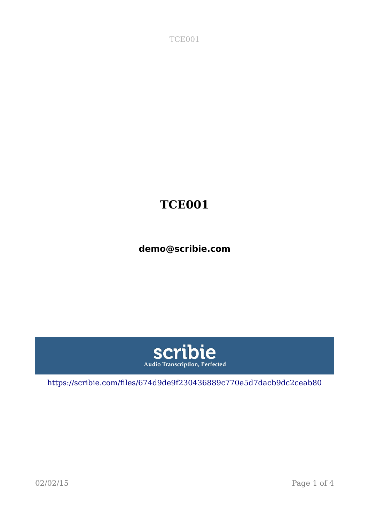TCE001

## **TCE001**

**demo@scribie.com**



[https://scribie.com/files/674d9de9f230436889c770e5d7dacb9dc2ceab80](https://scribie.com/files/%7BFID%7D)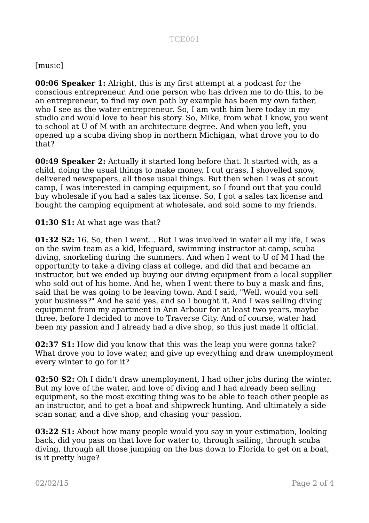## [music]

**00:06 Speaker 1:** Alright, this is my first attempt at a podcast for the conscious entrepreneur. And one person who has driven me to do this, to be an entrepreneur, to find my own path by example has been my own father, who I see as the water entrepreneur. So, I am with him here today in my studio and would love to hear his story. So, Mike, from what I know, you went to school at U of M with an architecture degree. And when you left, you opened up a scuba diving shop in northern Michigan, what drove you to do that?

**00:49 Speaker 2:** Actually it started long before that. It started with, as a child, doing the usual things to make money, I cut grass, I shovelled snow, delivered newspapers, all those usual things. But then when I was at scout camp, I was interested in camping equipment, so I found out that you could buy wholesale if you had a sales tax license. So, I got a sales tax license and bought the camping equipment at wholesale, and sold some to my friends.

**01:30 S1:** At what age was that?

**01:32 S2:** 16. So, then I went... But I was involved in water all my life, I was on the swim team as a kid, lifeguard, swimming instructor at camp, scuba diving, snorkeling during the summers. And when I went to U of M I had the opportunity to take a diving class at college, and did that and became an instructor, but we ended up buying our diving equipment from a local supplier who sold out of his home. And he, when I went there to buy a mask and fins, said that he was going to be leaving town. And I said, "Well, would you sell your business?" And he said yes, and so I bought it. And I was selling diving equipment from my apartment in Ann Arbour for at least two years, maybe three, before I decided to move to Traverse City. And of course, water had been my passion and I already had a dive shop, so this just made it official.

**02:37 S1:** How did you know that this was the leap you were gonna take? What drove you to love water, and give up everything and draw unemployment every winter to go for it?

**02:50 S2:** Oh I didn't draw unemployment, I had other jobs during the winter. But my love of the water, and love of diving and I had already been selling equipment, so the most exciting thing was to be able to teach other people as an instructor, and to get a boat and shipwreck hunting. And ultimately a side scan sonar, and a dive shop, and chasing your passion.

**03:22 S1:** About how many people would you say in your estimation, looking back, did you pass on that love for water to, through sailing, through scuba diving, through all those jumping on the bus down to Florida to get on a boat, is it pretty huge?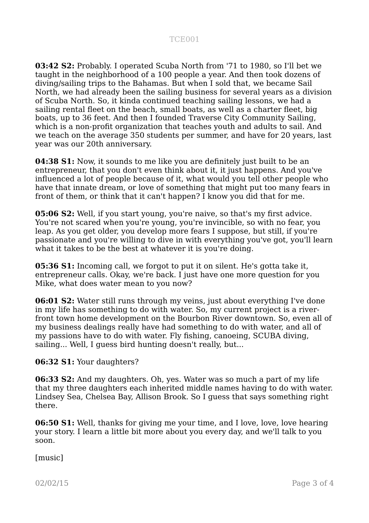## TCE001

**03:42 S2:** Probably. I operated Scuba North from '71 to 1980, so I'll bet we taught in the neighborhood of a 100 people a year. And then took dozens of diving/sailing trips to the Bahamas. But when I sold that, we became Sail North, we had already been the sailing business for several years as a division of Scuba North. So, it kinda continued teaching sailing lessons, we had a sailing rental fleet on the beach, small boats, as well as a charter fleet, big boats, up to 36 feet. And then I founded Traverse City Community Sailing, which is a non-profit organization that teaches youth and adults to sail. And we teach on the average 350 students per summer, and have for 20 years, last year was our 20th anniversary.

**04:38 S1:** Now, it sounds to me like you are definitely just built to be an entrepreneur, that you don't even think about it, it just happens. And you've influenced a lot of people because of it, what would you tell other people who have that innate dream, or love of something that might put too many fears in front of them, or think that it can't happen? I know you did that for me.

**05:06 S2:** Well, if you start young, you're naive, so that's my first advice. You're not scared when you're young, you're invincible, so with no fear, you leap. As you get older, you develop more fears I suppose, but still, if you're passionate and you're willing to dive in with everything you've got, you'll learn what it takes to be the best at whatever it is you're doing.

**05:36 S1:** Incoming call, we forgot to put it on silent. He's gotta take it, entrepreneur calls. Okay, we're back. I just have one more question for you Mike, what does water mean to you now?

**06:01 S2:** Water still runs through my veins, just about everything I've done in my life has something to do with water. So, my current project is a riverfront town home development on the Bourbon River downtown. So, even all of my business dealings really have had something to do with water, and all of my passions have to do with water. Fly fishing, canoeing, SCUBA diving, sailing... Well, I guess bird hunting doesn't really, but...

**06:32 S1:** Your daughters?

**06:33 S2:** And my daughters. Oh, yes. Water was so much a part of my life that my three daughters each inherited middle names having to do with water. Lindsey Sea, Chelsea Bay, Allison Brook. So I guess that says something right there.

**06:50 S1:** Well, thanks for giving me your time, and I love, love, love hearing your story. I learn a little bit more about you every day, and we'll talk to you soon.

[music]